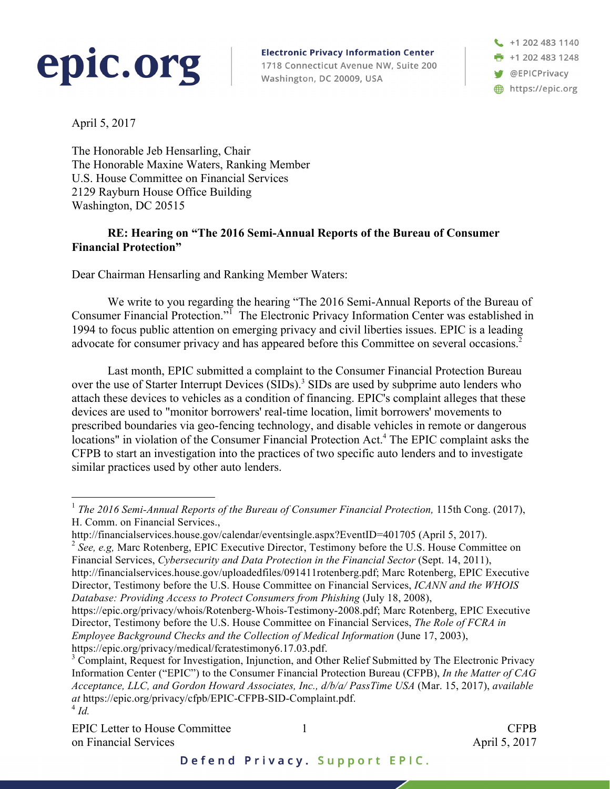

**Electronic Privacy Information Center** 1718 Connecticut Avenue NW, Suite 200 Washington, DC 20009, USA

+1 202 483 1140 ➡ +1 202 483 1248 **W** @EPICPrivacy https://epic.org

April 5, 2017

The Honorable Jeb Hensarling, Chair The Honorable Maxine Waters, Ranking Member U.S. House Committee on Financial Services 2129 Rayburn House Office Building Washington, DC 20515

## **RE: Hearing on "The 2016 Semi-Annual Reports of the Bureau of Consumer Financial Protection"**

Dear Chairman Hensarling and Ranking Member Waters:

We write to you regarding the hearing "The 2016 Semi-Annual Reports of the Bureau of Consumer Financial Protection."<sup>1</sup> The Electronic Privacy Information Center was established in 1994 to focus public attention on emerging privacy and civil liberties issues. EPIC is a leading advocate for consumer privacy and has appeared before this Committee on several occasions.<sup>2</sup>

Last month, EPIC submitted a complaint to the Consumer Financial Protection Bureau over the use of Starter Interrupt Devices (SIDs).<sup>3</sup> SIDs are used by subprime auto lenders who attach these devices to vehicles as a condition of financing. EPIC's complaint alleges that these devices are used to "monitor borrowers' real-time location, limit borrowers' movements to prescribed boundaries via geo-fencing technology, and disable vehicles in remote or dangerous locations" in violation of the Consumer Financial Protection Act.<sup>4</sup> The EPIC complaint asks the CFPB to start an investigation into the practices of two specific auto lenders and to investigate similar practices used by other auto lenders.

1

 <sup>1</sup> *The <sup>2016</sup> Semi-Annual Reports of the Bureau of Consumer Financial Protection,* 115th Cong. (2017), H. Comm. on Financial Services.,

http://financialservices.house.gov/calendar/eventsingle.aspx?EventID=401705 (April 5, 2017).

<sup>2</sup> *See, e.g,* Marc Rotenberg, EPIC Executive Director, Testimony before the U.S. House Committee on Financial Services, *Cybersecurity and Data Protection in the Financial Sector* (Sept. 14, 2011), http://financialservices.house.gov/uploadedfiles/091411rotenberg.pdf; Marc Rotenberg, EPIC Executive Director, Testimony before the U.S. House Committee on Financial Services, *ICANN and the WHOIS Database: Providing Access to Protect Consumers from Phishing* (July 18, 2008),

https://epic.org/privacy/whois/Rotenberg-Whois-Testimony-2008.pdf; Marc Rotenberg, EPIC Executive Director, Testimony before the U.S. House Committee on Financial Services, *The Role of FCRA in Employee Background Checks and the Collection of Medical Information* (June 17, 2003), https://epic.org/privacy/medical/fcratestimony6.17.03.pdf.<br><sup>3</sup> Complaint, Request for Investigation, Injunction, and Other Relief Submitted by The Electronic Privacy

Information Center ("EPIC") to the Consumer Financial Protection Bureau (CFPB), *In the Matter of CAG Acceptance, LLC, and Gordon Howard Associates, Inc., d/b/a/ PassTime USA* (Mar. 15, 2017), *available at* https://epic.org/privacy/cfpb/EPIC-CFPB-SID-Complaint.pdf. <sup>4</sup> *Id.*

EPIC Letter to House Committee  $\qquad 1$ on Financial Services **April 5, 2017**